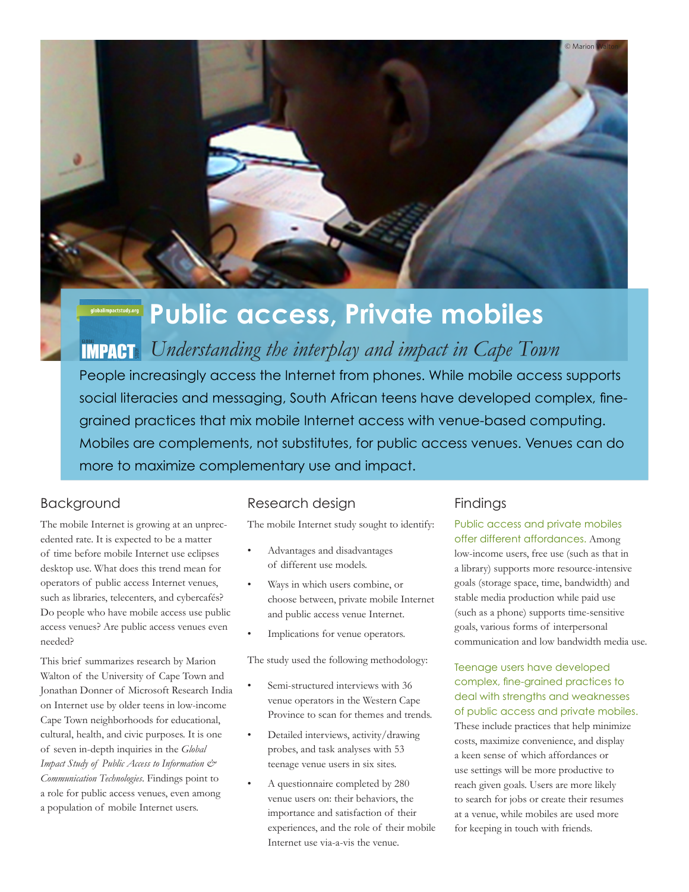

# **Public access, Private mobiles**

*Understanding the interplay and impact in Cape Town*

People increasingly access the Internet from phones. While mobile access supports social literacies and messaging, South African teens have developed complex, finegrained practices that mix mobile Internet access with venue-based computing. Mobiles are complements, not substitutes, for public access venues. Venues can do more to maximize complementary use and impact.

# Background

The mobile Internet is growing at an unprecedented rate. It is expected to be a matter of time before mobile Internet use eclipses desktop use. What does this trend mean for operators of public access Internet venues, such as libraries, telecenters, and cybercafés? Do people who have mobile access use public access venues? Are public access venues even needed?

This brief summarizes research by Marion Walton of the University of Cape Town and Jonathan Donner of Microsoft Research India on Internet use by older teens in low-income Cape Town neighborhoods for educational, cultural, health, and civic purposes. It is one of seven in-depth inquiries in the *Global Impact Study of Public Access to Information & Communication Technologies*. Findings point to a role for public access venues, even among a population of mobile Internet users.

## Research design

The mobile Internet study sought to identify:

- Advantages and disadvantages of different use models.
- Ways in which users combine, or choose between, private mobile Internet and public access venue Internet.
- Implications for venue operators.

The study used the following methodology:

- Semi-structured interviews with 36 venue operators in the Western Cape Province to scan for themes and trends.
- Detailed interviews, activity/drawing probes, and task analyses with 53 teenage venue users in six sites.
- A questionnaire completed by 280 venue users on: their behaviors, the importance and satisfaction of their experiences, and the role of their mobile Internet use via-a-vis the venue.

# Findings

Public access and private mobiles offer different affordances. Among low-income users, free use (such as that in a library) supports more resource-intensive goals (storage space, time, bandwidth) and stable media production while paid use (such as a phone) supports time-sensitive goals, various forms of interpersonal communication and low bandwidth media use.

Teenage users have developed complex, fine-grained practices to deal with strengths and weaknesses of public access and private mobiles.

These include practices that help minimize costs, maximize convenience, and display a keen sense of which affordances or use settings will be more productive to reach given goals. Users are more likely to search for jobs or create their resumes at a venue, while mobiles are used more for keeping in touch with friends.